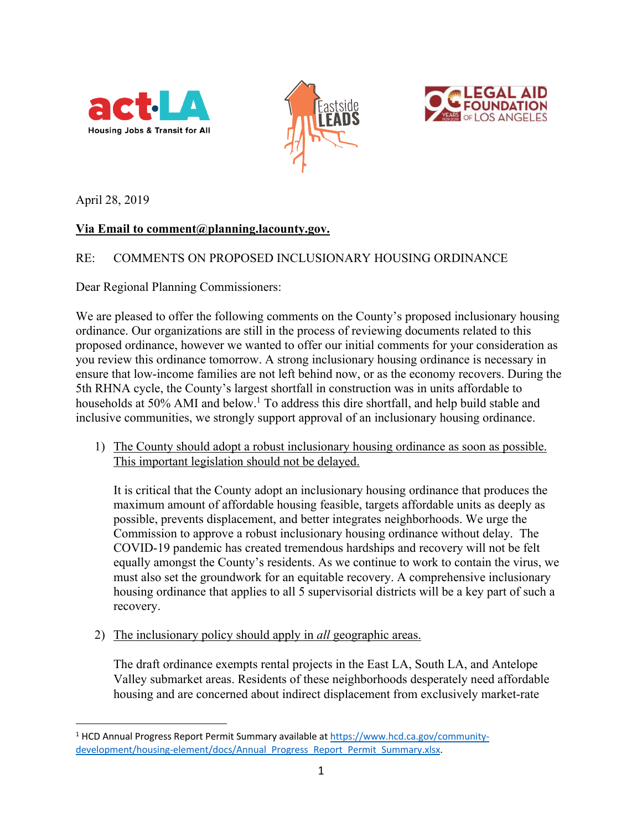





April 28, 2019

# **Via Email to comment@planning.lacounty.gov.**

# RE: COMMENTS ON PROPOSED INCLUSIONARY HOUSING ORDINANCE

Dear Regional Planning Commissioners:

We are pleased to offer the following comments on the County's proposed inclusionary housing ordinance. Our organizations are still in the process of reviewing documents related to this proposed ordinance, however we wanted to offer our initial comments for your consideration as you review this ordinance tomorrow. A strong inclusionary housing ordinance is necessary in ensure that low-income families are not left behind now, or as the economy recovers. During the 5th RHNA cycle, the County's largest shortfall in construction was in units affordable to households at 50% AMI and below.<sup>1</sup> To address this dire shortfall, and help build stable and inclusive communities, we strongly support approval of an inclusionary housing ordinance.

1) The County should adopt a robust inclusionary housing ordinance as soon as possible. This important legislation should not be delayed.

It is critical that the County adopt an inclusionary housing ordinance that produces the maximum amount of affordable housing feasible, targets affordable units as deeply as possible, prevents displacement, and better integrates neighborhoods. We urge the Commission to approve a robust inclusionary housing ordinance without delay. The COVID-19 pandemic has created tremendous hardships and recovery will not be felt equally amongst the County's residents. As we continue to work to contain the virus, we must also set the groundwork for an equitable recovery. A comprehensive inclusionary housing ordinance that applies to all 5 supervisorial districts will be a key part of such a recovery.

2) The inclusionary policy should apply in *all* geographic areas.

The draft ordinance exempts rental projects in the East LA, South LA, and Antelope Valley submarket areas. Residents of these neighborhoods desperately need affordable housing and are concerned about indirect displacement from exclusively market-rate

<sup>1</sup> HCD Annual Progress Report Permit Summary available at https://www.hcd.ca.gov/communitydevelopment/housing-element/docs/Annual\_Progress\_Report\_Permit\_Summary.xlsx.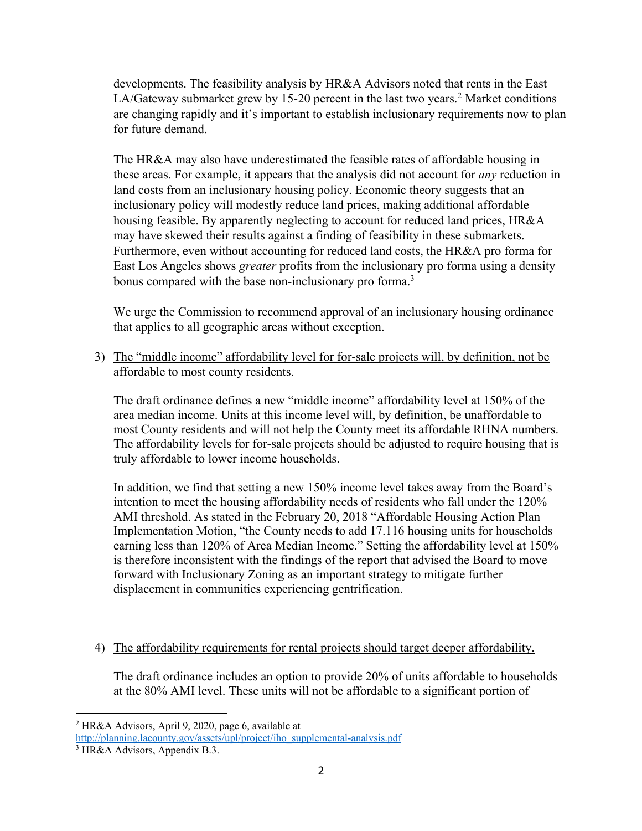developments. The feasibility analysis by HR&A Advisors noted that rents in the East LA/Gateway submarket grew by 15-20 percent in the last two years.<sup>2</sup> Market conditions are changing rapidly and it's important to establish inclusionary requirements now to plan for future demand.

The HR&A may also have underestimated the feasible rates of affordable housing in these areas. For example, it appears that the analysis did not account for *any* reduction in land costs from an inclusionary housing policy. Economic theory suggests that an inclusionary policy will modestly reduce land prices, making additional affordable housing feasible. By apparently neglecting to account for reduced land prices, HR&A may have skewed their results against a finding of feasibility in these submarkets. Furthermore, even without accounting for reduced land costs, the HR&A pro forma for East Los Angeles shows *greater* profits from the inclusionary pro forma using a density bonus compared with the base non-inclusionary pro forma.<sup>3</sup>

We urge the Commission to recommend approval of an inclusionary housing ordinance that applies to all geographic areas without exception.

3) The "middle income" affordability level for for-sale projects will, by definition, not be affordable to most county residents.

The draft ordinance defines a new "middle income" affordability level at 150% of the area median income. Units at this income level will, by definition, be unaffordable to most County residents and will not help the County meet its affordable RHNA numbers. The affordability levels for for-sale projects should be adjusted to require housing that is truly affordable to lower income households.

In addition, we find that setting a new 150% income level takes away from the Board's intention to meet the housing affordability needs of residents who fall under the 120% AMI threshold. As stated in the February 20, 2018 "Affordable Housing Action Plan Implementation Motion, "the County needs to add 17.116 housing units for households earning less than 120% of Area Median Income." Setting the affordability level at 150% is therefore inconsistent with the findings of the report that advised the Board to move forward with Inclusionary Zoning as an important strategy to mitigate further displacement in communities experiencing gentrification.

## 4) The affordability requirements for rental projects should target deeper affordability.

The draft ordinance includes an option to provide 20% of units affordable to households at the 80% AMI level. These units will not be affordable to a significant portion of

<sup>2</sup> HR&A Advisors, April 9, 2020, page 6, available at

http://planning.lacounty.gov/assets/upl/project/iho\_supplemental-analysis.pdf

<sup>3</sup> HR&A Advisors, Appendix B.3.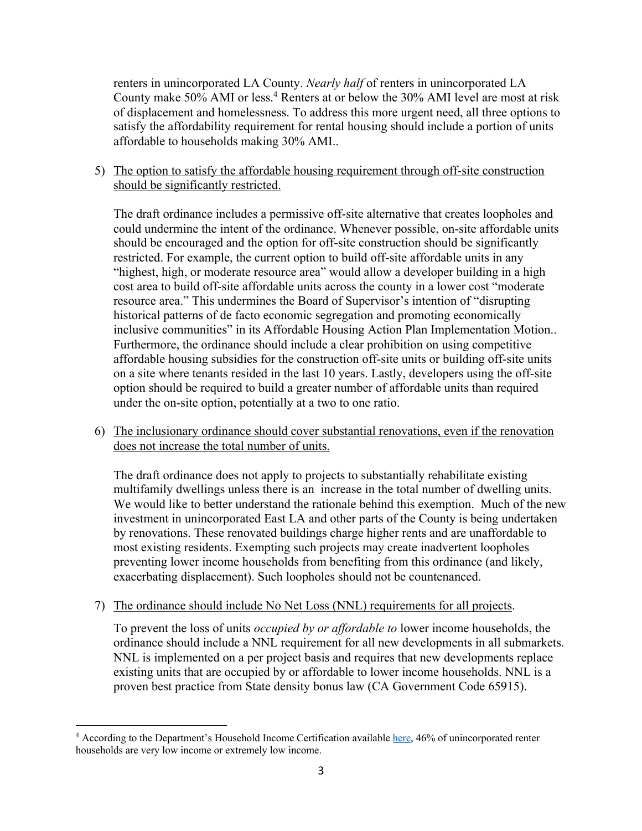renters in unincorporated LA County. *Nearly half* of renters in unincorporated LA County make 50% AMI or less.4 Renters at or below the 30% AMI level are most at risk of displacement and homelessness. To address this more urgent need, all three options to satisfy the affordability requirement for rental housing should include a portion of units affordable to households making 30% AMI..

### 5) The option to satisfy the affordable housing requirement through off-site construction should be significantly restricted.

The draft ordinance includes a permissive off-site alternative that creates loopholes and could undermine the intent of the ordinance. Whenever possible, on-site affordable units should be encouraged and the option for off-site construction should be significantly restricted. For example, the current option to build off-site affordable units in any "highest, high, or moderate resource area" would allow a developer building in a high cost area to build off-site affordable units across the county in a lower cost "moderate resource area." This undermines the Board of Supervisor's intention of "disrupting historical patterns of de facto economic segregation and promoting economically inclusive communities" in its Affordable Housing Action Plan Implementation Motion.. Furthermore, the ordinance should include a clear prohibition on using competitive affordable housing subsidies for the construction off-site units or building off-site units on a site where tenants resided in the last 10 years. Lastly, developers using the off-site option should be required to build a greater number of affordable units than required under the on-site option, potentially at a two to one ratio.

6) The inclusionary ordinance should cover substantial renovations, even if the renovation does not increase the total number of units.

The draft ordinance does not apply to projects to substantially rehabilitate existing multifamily dwellings unless there is an increase in the total number of dwelling units. We would like to better understand the rationale behind this exemption. Much of the new investment in unincorporated East LA and other parts of the County is being undertaken by renovations. These renovated buildings charge higher rents and are unaffordable to most existing residents. Exempting such projects may create inadvertent loopholes preventing lower income households from benefiting from this ordinance (and likely, exacerbating displacement). Such loopholes should not be countenanced.

## 7) The ordinance should include No Net Loss (NNL) requirements for all projects.

To prevent the loss of units *occupied by or affordable to* lower income households, the ordinance should include a NNL requirement for all new developments in all submarkets. NNL is implemented on a per project basis and requires that new developments replace existing units that are occupied by or affordable to lower income households. NNL is a proven best practice from State density bonus law (CA Government Code 65915).

<sup>&</sup>lt;sup>4</sup> According to the Department's Household Income Certification available here, 46% of unincorporated renter households are very low income or extremely low income.